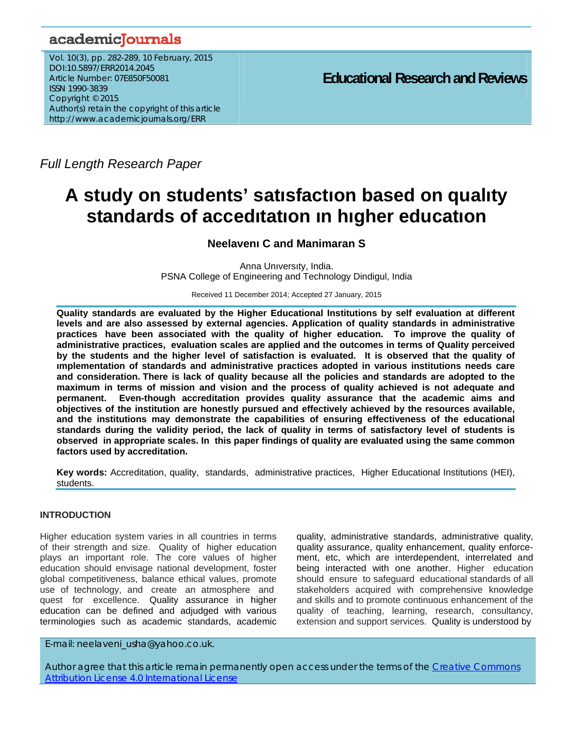## academicJournals

Vol. 10(3), pp. 282-289, 10 February, 2015 DOI:10.5897/ERR2014.2045 Article Number: 07E850F50081 ISSN 1990-3839 Copyright © 2015 Author(s) retain the copyright of this article http://www.academicjournals.org/ERR

**Educational Research and Reviews**

*Full Length Research Paper*

# **A study on students' satısfactıon based on qualıty standards of accedıtatıon ın hıgher educatıon**

### **Neelavenı C and Manimaran S**

Anna Unıversıty, India. PSNA College of Engineering and Technology Dindigul, India

Received 11 December 2014; Accepted 27 January, 2015

**Quality standards are evaluated by the Higher Educational Institutions by self evaluation at different levels and are also assessed by external agencies. Application of quality standards in administrative practices have been associated with the quality of higher education. To improve the quality of administrative practices, evaluation scales are applied and the outcomes in terms of Quality perceived by the students and the higher level of satisfaction is evaluated. It is observed that the quality of ımplementation of standards and administrative practices adopted in various institutions needs care and consideration. There is lack of quality because all the policies and standards are adopted to the maximum in terms of mission and vision and the process of quality achieved is not adequate and permanent. Even-though accreditation provides quality assurance that the academic aims and objectives of the institution are honestly pursued and effectively achieved by the resources available, and the institutions may demonstrate the capabilities of ensuring effectiveness of the educational standards during the validity period, the lack of quality in terms of satisfactory level of students is observed in appropriate scales. In this paper findings of quality are evaluated using the same common factors used by accreditation.** 

**Key words:** Accreditation, quality, standards, administrative practices, Higher Educational Institutions (HEI), students.

#### **INTRODUCTION**

Higher education system varies in all countries in terms of their strength and size. Quality of higher education plays an important role. The core values of higher education should envisage national development, foster global competitiveness, balance ethical values, promote use of technology, and create an atmosphere and quest for excellence. Quality assurance in higher education can be defined and adjudged with various terminologies such as academic standards, academic

quality, administrative standards, administrative quality, quality assurance, quality enhancement, quality enforcement, etc, which are interdependent, interrelated and being interacted with one another. Higher education should ensure to safeguard educational standards of all stakeholders acquired with comprehensive knowledge and skills and to promote continuous enhancement of the quality of teaching, learning, research, consultancy, extension and support services. Quality is understood by

E-mail: neelaveni\_usha@yahoo.co.uk.

Author agree that this article remain permanently open access under the terms of the Creative Commons Attribution License 4.0 International License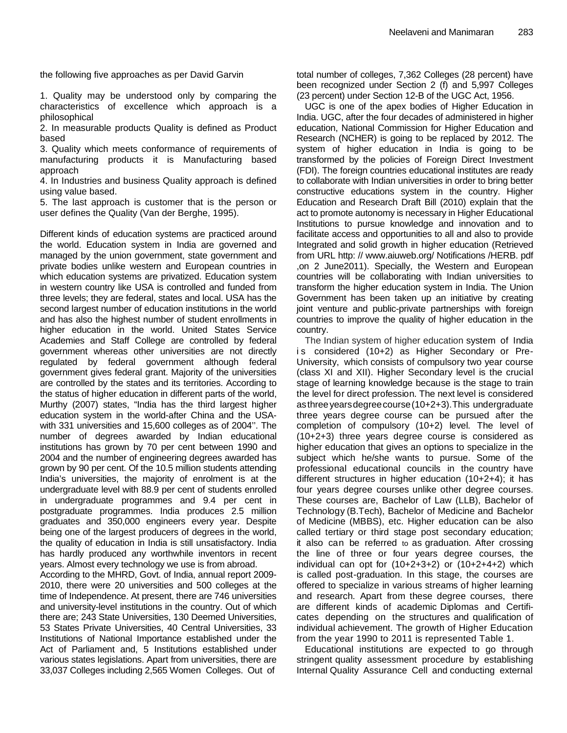the following five approaches as per David Garvin

1. Quality may be understood only by comparing the characteristics of excellence which approach is a philosophical

2. In measurable products Quality is defined as Product based

3. Quality which meets conformance of requirements of manufacturing products it is Manufacturing based approach

4. In Industries and business Quality approach is defined using value based.

5. The last approach is customer that is the person or user defines the Quality (Van der Berghe, 1995).

Different kinds of education systems are practiced around the world. Education system in India are governed and managed by the union government, state government and private bodies unlike western and European countries in which education systems are privatized. Education system in western country like USA is controlled and funded from three levels; they are federal, states and local. USA has the second largest number of education institutions in the world and has also the highest number of student enrollments in higher education in the world. United States Service Academies and Staff College are controlled by federal government whereas other universities are not directly regulated by federal government although federal government gives federal grant. Majority of the universities are controlled by the states and its territories. According to the status of higher education in different parts of the world, Murthy (2007) states, "India has the third largest higher education system in the world-after China and the USAwith 331 universities and 15,600 colleges as of 2004''. The number of degrees awarded by Indian educational institutions has grown by 70 per cent between 1990 and 2004 and the number of engineering degrees awarded has grown by 90 per cent. Of the 10.5 million students attending India's universities, the majority of enrolment is at the undergraduate level with 88.9 per cent of students enrolled in undergraduate programmes and 9.4 per cent in postgraduate programmes. India produces 2.5 million graduates and 350,000 engineers every year. Despite being one of the largest producers of degrees in the world, the quality of education in India is still unsatisfactory. India has hardly produced any worthwhile inventors in recent years. Almost every technology we use is from abroad.

According to the MHRD, Govt. of India, annual report 2009- 2010, there were 20 universities and 500 colleges at the time of Independence. At present, there are 746 universities and university-level institutions in the country. Out of which there are; 243 State Universities, 130 Deemed Universities, 53 States Private Universities, 40 Central Universities, 33 Institutions of National Importance established under the Act of Parliament and, 5 Institutions established under various states legislations. Apart from universities, there are 33,037 Colleges including 2,565 Women Colleges. Out of

total number of colleges, 7,362 Colleges (28 percent) have been recognized under Section 2 (f) and 5,997 Colleges (23 percent) under Section 12-B of the UGC Act, 1956.

UGC is one of the apex bodies of Higher Education in India. UGC, after the four decades of administered in higher education, National Commission for Higher Education and Research (NCHER) is going to be replaced by 2012. The system of higher education in India is going to be transformed by the policies of Foreign Direct Investment (FDI). The foreign countries educational institutes are ready to collaborate with Indian universities in order to bring better constructive educations system in the country. Higher Education and Research Draft Bill (2010) explain that the act to promote autonomy is necessary in Higher Educational Institutions to pursue knowledge and innovation and to facilitate access and opportunities to all and also to provide Integrated and solid growth in higher education (Retrieved from URL http: // www.aiuweb.org/ Notifications /HERB. pdf ,on 2 June2011). Specially, the Western and European countries will be collaborating with Indian universities to transform the higher education system in India. The Union Government has been taken up an initiative by creating joint venture and public-private partnerships with foreign countries to improve the quality of higher education in the country.

The Indian system of higher education system of India is considered (10+2) as Higher Secondary or Pre-University, which consists of compulsory two year course (class XI and XII). Higher Secondary level is the crucial stage of learning knowledge because is the stage to train the level for direct profession. The next level is considered asthreeyearsdegreecourse(10+2+3).This undergraduate three years degree course can be pursued after the completion of compulsory (10+2) level. The level of (10+2+3) three years degree course is considered as higher education that gives an options to specialize in the subject which he/she wants to pursue. Some of the professional educational councils in the country have different structures in higher education (10+2+4); it has four years degree courses unlike other degree courses. These courses are, Bachelor of Law (LLB), Bachelor of Technology (B.Tech), Bachelor of Medicine and Bachelor of Medicine (MBBS), etc. Higher education can be also called tertiary or third stage post secondary education; it also can be referred to as graduation. After crossing the line of three or four years degree courses, the individual can opt for  $(10+2+3+2)$  or  $(10+2+4+2)$  which is called post-graduation. In this stage, the courses are offered to specialize in various streams of higher learning and research. Apart from these degree courses, there are different kinds of academic Diplomas and Certificates depending on the structures and qualification of individual achievement. The growth of Higher Education from the year 1990 to 2011 is represented Table 1.

Educational institutions are expected to go through stringent quality assessment procedure by establishing Internal Quality Assurance Cell and conducting external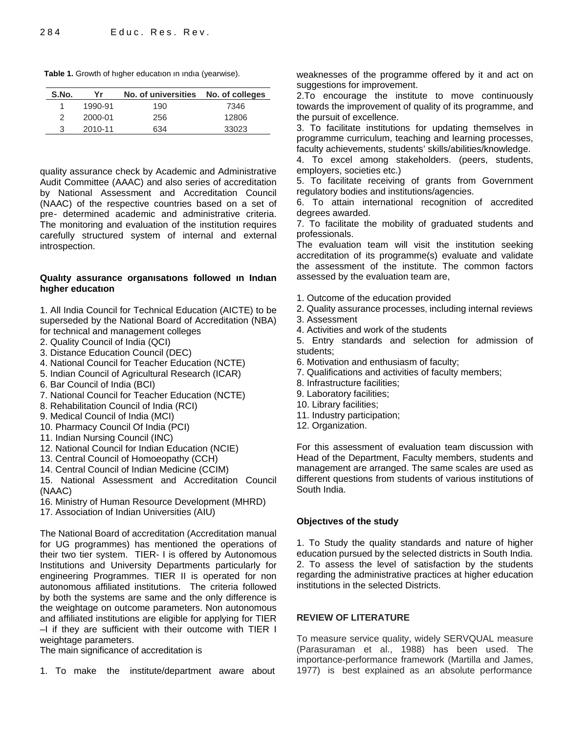**Table 1.** Growth of hıgher educatıon ın ındıa (yearwise).

| S.No.         | Υr      | No. of universities | No. of colleges |
|---------------|---------|---------------------|-----------------|
|               | 1990-91 | 190                 | 7346            |
| $\mathcal{P}$ | 2000-01 | 256                 | 12806           |
| 3             | 2010-11 | 634                 | 33023           |

quality assurance check by Academic and Administrative Audit Committee (AAAC) and also series of accreditation by National Assessment and Accreditation Council (NAAC) of the respective countries based on a set of pre- determined academic and administrative criteria. The monitoring and evaluation of the institution requires carefully structured system of internal and external introspection.

#### **Qualıty assurance organısatıons followed ın Indıan hıgher educatıon**

1. All India Council for Technical Education (AICTE) to be superseded by the National Board of Accreditation (NBA) for technical and management colleges

- 2. Quality Council of India (QCI)
- 3. Distance Education Council (DEC)
- 4. National Council for Teacher Education (NCTE)
- 5. Indian Council of Agricultural Research (ICAR)
- 6. Bar Council of India (BCI)
- 7. National Council for Teacher Education (NCTE)
- 8. Rehabilitation Council of India (RCI)
- 9. Medical Council of India (MCI)
- 10. Pharmacy Council Of India (PCI)
- 11. Indian Nursing Council (INC)
- 12. National Council for Indian Education (NCIE)
- 13. Central Council of Homoeopathy (CCH)
- 14. Central Council of Indian Medicine (CCIM)

15. National Assessment and Accreditation Council (NAAC)

- 16. Ministry of Human Resource Development (MHRD)
- 17. Association of Indian Universities (AIU)

The National Board of accreditation (Accreditation manual for UG programmes) has mentioned the operations of their two tier system. TIER- I is offered by Autonomous Institutions and University Departments particularly for engineering Programmes. TIER II is operated for non autonomous affiliated institutions. The criteria followed by both the systems are same and the only difference is the weightage on outcome parameters. Non autonomous and affiliated institutions are eligible for applying for TIER –I if they are sufficient with their outcome with TIER I weightage parameters.

The main significance of accreditation is

1. To make the institute/department aware about

weaknesses of the programme offered by it and act on suggestions for improvement.

2.To encourage the institute to move continuously towards the improvement of quality of its programme, and the pursuit of excellence.

3. To facilitate institutions for updating themselves in programme curriculum, teaching and learning processes, faculty achievements, students' skills/abilities/knowledge.

4. To excel among stakeholders. (peers, students, employers, societies etc.)

5. To facilitate receiving of grants from Government regulatory bodies and institutions/agencies.

6. To attain international recognition of accredited degrees awarded.

7. To facilitate the mobility of graduated students and professionals.

The evaluation team will visit the institution seeking accreditation of its programme(s) evaluate and validate the assessment of the institute. The common factors assessed by the evaluation team are,

- 1. Outcome of the education provided
- 2. Quality assurance processes, including internal reviews
- 3. Assessment
- 4. Activities and work of the students

5. Entry standards and selection for admission of students;

- 6. Motivation and enthusiasm of faculty;
- 7. Qualifications and activities of faculty members;
- 8. Infrastructure facilities;
- 9. Laboratory facilities;
- 10. Library facilities;
- 11. Industry participation;
- 12. Organization.

For this assessment of evaluation team discussion with Head of the Department, Faculty members, students and management are arranged. The same scales are used as different questions from students of various institutions of South India.

#### **Objectıves of the study**

1. To Study the quality standards and nature of higher education pursued by the selected districts in South India. 2. To assess the level of satisfaction by the students regarding the administrative practices at higher education institutions in the selected Districts.

#### **REVIEW OF LITERATURE**

To measure service quality, widely SERVQUAL measure (Parasuraman et al., 1988) has been used. The importance-performance framework (Martilla and James, 1977) is best explained as an absolute performance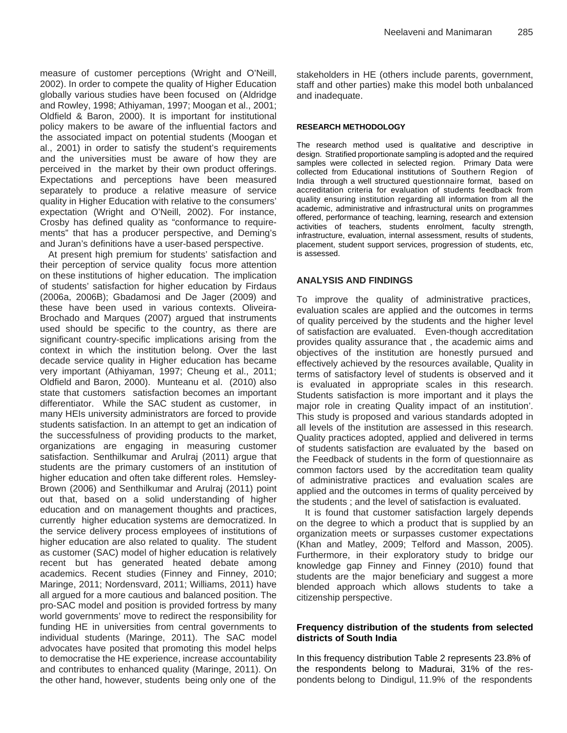measure of customer perceptions (Wright and O'Neill, 2002). In order to compete the quality of Higher Education globally various studies have been focused on (Aldridge and Rowley, 1998; Athiyaman, 1997; Moogan et al., 2001; Oldfield & Baron, 2000). It is important for institutional policy makers to be aware of the influential factors and the associated impact on potential students (Moogan et al., 2001) in order to satisfy the student's requirements and the universities must be aware of how they are perceived in the market by their own product offerings. Expectations and perceptions have been measured separately to produce a relative measure of service quality in Higher Education with relative to the consumers' expectation (Wright and O'Neill, 2002). For instance, Crosby has defined quality as "conformance to requirements" that has a producer perspective, and Deming's and Juran's definitions have a user-based perspective.

At present high premium for students' satisfaction and their perception of service quality focus more attention on these institutions of higher education. The implication of students' satisfaction for higher education by Firdaus (2006a, 2006B); Gbadamosi and De Jager (2009) and these have been used in various contexts. Oliveira-Brochado and Marques (2007) argued that instruments used should be specific to the country, as there are significant country-specific implications arising from the context in which the institution belong. Over the last decade service quality in Higher education has became very important (Athiyaman, 1997; Cheung et al., 2011; Oldfield and Baron, 2000). Munteanu et al. (2010) also state that customers satisfaction becomes an important differentiator. While the SAC student as customer, in many HEIs university administrators are forced to provide students satisfaction. In an attempt to get an indication of the successfulness of providing products to the market, organizations are engaging in measuring customer satisfaction. Senthilkumar and Arulraj (2011) argue that students are the primary customers of an institution of higher education and often take different roles. Hemsley-Brown (2006) and Senthilkumar and Arulraj (2011) point out that, based on a solid understanding of higher education and on management thoughts and practices, currently higher education systems are democratized. In the service delivery process employees of institutions of higher education are also related to quality. The student as customer (SAC) model of higher education is relatively recent but has generated heated debate among academics. Recent studies (Finney and Finney, 2010; Maringe, 2011; Nordensvard, 2011; Williams, 2011) have all argued for a more cautious and balanced position. The pro-SAC model and position is provided fortress by many world governments' move to redirect the responsibility for funding HE in universities from central governments to individual students (Maringe, 2011). The SAC model advocates have posited that promoting this model helps to democratise the HE experience, increase accountability and contributes to enhanced quality (Maringe, 2011). On the other hand, however, students being only one of the stakeholders in HE (others include parents, government, staff and other parties) make this model both unbalanced and inadequate.

#### **RESEARCH METHODOLOGY**

The research method used is qualitative and descriptive in design. Stratified proportionate sampling is adopted and the required samples were collected in selected region. Primary Data were collected from Educational institutions of Southern Region of India through a well structured questionnaire format, based on accreditation criteria for evaluation of students feedback from quality ensuring institution regarding all information from all the academic, administrative and infrastructural units on programmes offered, performance of teaching, learning, research and extension activities of teachers, students enrolment, faculty strength, infrastructure, evaluation, internal assessment, results of students, placement, student support services, progression of students, etc, is assessed.

#### **ANALYSIS AND FINDINGS**

To improve the quality of administrative practices, evaluation scales are applied and the outcomes in terms of quality perceived by the students and the higher level of satisfaction are evaluated. Even-though accreditation provides quality assurance that , the academic aims and objectives of the institution are honestly pursued and effectively achieved by the resources available, Quality in terms of satisfactory level of students is observed and it is evaluated in appropriate scales in this research. Students satisfaction is more important and it plays the major role in creating Quality impact of an institution'. This study is proposed and various standards adopted in all levels of the institution are assessed in this research. Quality practices adopted, applied and delivered in terms of students satisfaction are evaluated by the based on the Feedback of students in the form of questionnaire as common factors used by the accreditation team quality of administrative practices and evaluation scales are applied and the outcomes in terms of quality perceived by the students ; and the level of satisfaction is evaluated.

It is found that customer satisfaction largely depends on the degree to which a product that is supplied by an organization meets or surpasses customer expectations (Khan and Matley, 2009; Telford and Masson, 2005). Furthermore, in their exploratory study to bridge our knowledge gap Finney and Finney (2010) found that students are the major beneficiary and suggest a more blended approach which allows students to take a citizenship perspective.

#### **Frequency distribution of the students from selected districts of South India**

In this frequency distribution Table 2 represents 23.8% of the respondents belong to Madurai, 31% of the respondents belong to Dindigul, 11.9% of the respondents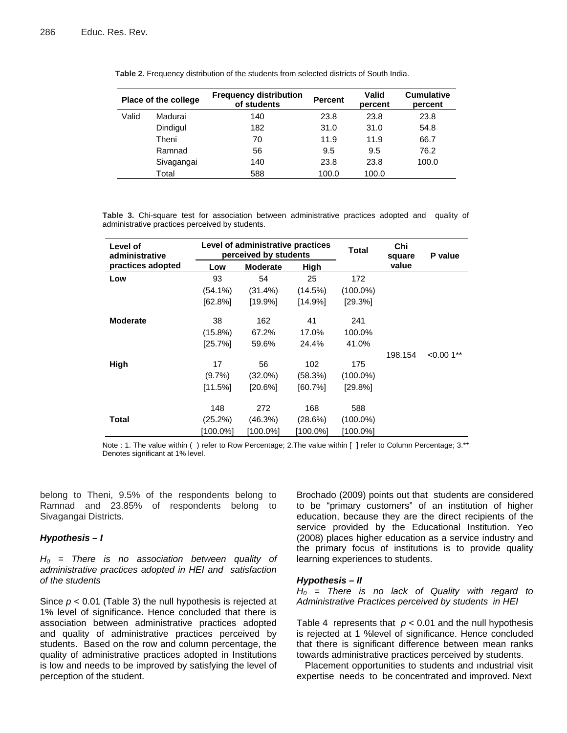| Place of the college |            | <b>Frequency distribution</b><br>of students | <b>Percent</b> |       | <b>Cumulative</b><br>percent |
|----------------------|------------|----------------------------------------------|----------------|-------|------------------------------|
| Valid                | Madurai    | 140                                          | 23.8           | 23.8  | 23.8                         |
|                      | Dindigul   | 182                                          | 31.0           | 31.0  | 54.8                         |
|                      | Theni      | 70                                           | 11.9           | 11.9  | 66.7                         |
|                      | Ramnad     | 56                                           | 9.5            | 9.5   | 76.2                         |
|                      | Sivagangai | 140                                          | 23.8           | 23.8  | 100.0                        |
|                      | Total      | 588                                          | 100.0          | 100.0 |                              |

**Table 2.** Frequency distribution of the students from selected districts of South India.

**Table 3.** Chi-square test for association between administrative practices adopted and quality of administrative practices perceived by students.

| Level of<br>administrative | Level of administrative practices<br>perceived by students |                 |          | Total       | Chi<br>square | P value      |
|----------------------------|------------------------------------------------------------|-----------------|----------|-------------|---------------|--------------|
| practices adopted          | Low                                                        | <b>Moderate</b> | High     |             | value         |              |
| Low                        | 93                                                         | 54              | 25       | 172         |               |              |
|                            | (54.1%)                                                    | (31.4%)         | (14.5%)  | $(100.0\%)$ |               |              |
|                            | $[62.8\%]$                                                 | [19.9%]         | [14.9%]  | [29.3%]     |               |              |
| <b>Moderate</b>            | 38                                                         | 162             | 41       | 241         |               |              |
|                            | $(15.8\%)$                                                 | 67.2%           | 17.0%    | 100.0%      |               |              |
|                            | [25.7%]                                                    | 59.6%           | 24.4%    | 41.0%       |               |              |
|                            |                                                            |                 |          |             | 198.154       | $< 0.001$ ** |
| High                       | 17                                                         | 56              | 102      | 175         |               |              |
|                            | $(9.7\%)$                                                  | $(32.0\%)$      | (58.3%)  | $(100.0\%)$ |               |              |
|                            | [11.5%]                                                    | [20.6%]         | [60.7%]  | [29.8%]     |               |              |
|                            | 148                                                        | 272             | 168      | 588         |               |              |
| Total                      | (25.2%)                                                    | (46.3%)         | (28.6%)  | $(100.0\%)$ |               |              |
|                            | [100.0%]                                                   | [100.0%]        | [100.0%] | [100.0%]    |               |              |

Note : 1. The value within () refer to Row Percentage; 2. The value within [ ] refer to Column Percentage; 3.\*\* Denotes significant at 1% level.

belong to Theni, 9.5% of the respondents belong to Ramnad and 23.85% of respondents belong to Sivagangai Districts.

#### *Hypothesis – I*

*H0 = There is no association between quality of administrative practices adopted in HEI and satisfaction of the students* 

Since  $p < 0.01$  (Table 3) the null hypothesis is rejected at 1% level of significance. Hence concluded that there is association between administrative practices adopted and quality of administrative practices perceived by students. Based on the row and column percentage, the quality of administrative practices adopted in Institutions is low and needs to be improved by satisfying the level of perception of the student.

Brochado (2009) points out that students are considered to be "primary customers" of an institution of higher education, because they are the direct recipients of the service provided by the Educational Institution. Yeo (2008) places higher education as a service industry and the primary focus of institutions is to provide quality learning experiences to students.

#### *Hypothesis – II*

 $H_0$  = There is no lack of Quality with regard to *Administrative Practices perceived by students in HEI* 

Table 4 represents that  $p < 0.01$  and the null hypothesis is rejected at 1 %level of significance. Hence concluded that there is significant difference between mean ranks towards administrative practices perceived by students.

Placement opportunities to students and ındustrial visit expertise needs to be concentrated and improved. Next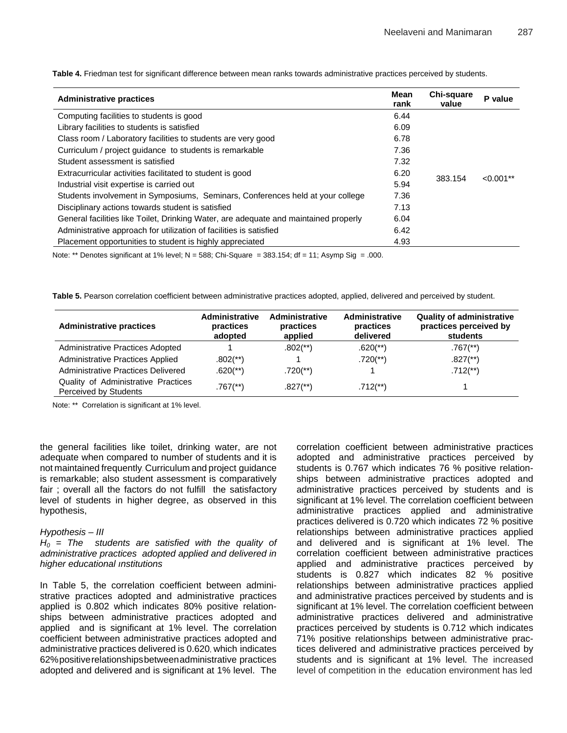| <b>Administrative practices</b>                                                      | Mean<br>rank | Chi-square<br>value | P value     |
|--------------------------------------------------------------------------------------|--------------|---------------------|-------------|
| Computing facilities to students is good                                             | 6.44         |                     |             |
| Library facilities to students is satisfied                                          | 6.09         |                     |             |
| Class room / Laboratory facilities to students are very good                         | 6.78         |                     |             |
| Curriculum / project quidance to students is remarkable                              | 7.36         |                     |             |
| Student assessment is satisfied                                                      | 7.32         |                     |             |
| Extracurricular activities facilitated to student is good                            | 6.20         | 383.154             | $< 0.001**$ |
| Industrial visit expertise is carried out                                            | 5.94         |                     |             |
| Students involvement in Symposiums, Seminars, Conferences held at your college       | 7.36         |                     |             |
| Disciplinary actions towards student is satisfied                                    | 7.13         |                     |             |
| General facilities like Toilet, Drinking Water, are adequate and maintained properly | 6.04         |                     |             |
| Administrative approach for utilization of facilities is satisfied                   | 6.42         |                     |             |
| Placement opportunities to student is highly appreciated                             | 4.93         |                     |             |

**Table 4.** Friedman test for significant difference between mean ranks towards administrative practices perceived by students.

Note: \*\* Denotes significant at 1% level; N = 588; Chi-Square = 383.154; df = 11; Asymp Sig = .000.

Table 5. Pearson correlation coefficient between administrative practices adopted, applied, delivered and perceived by student.

| <b>Administrative practices</b>                              | Administrative<br>Administrative<br>practices<br>practices<br>adopted<br>applied |                          | Administrative<br>practices<br>delivered | <b>Quality of administrative</b><br>practices perceived by<br>students |  |
|--------------------------------------------------------------|----------------------------------------------------------------------------------|--------------------------|------------------------------------------|------------------------------------------------------------------------|--|
| Administrative Practices Adopted                             |                                                                                  | $.802$ <sup>(**)</sup>   | $.620$ <sup>(**)</sup>                   | $.767$ <sup>(**)</sup> )                                               |  |
| Administrative Practices Applied                             | $.802$ <sup>**</sup> )                                                           |                          | $.720$ <sup>(**)</sup> )                 | $.827$ <sup>(**)</sup> )                                               |  |
| Administrative Practices Delivered                           | $.620$ <sup>(**)</sup>                                                           | $.720$ <sup>(**)</sup> ) |                                          | $.712$ <sup>**</sup> )                                                 |  |
| Quality of Administrative Practices<br>Perceived by Students | $.767$ <sup>(**)</sup> )                                                         | $.827$ (**)              | $.712$ <sup>**</sup> )                   |                                                                        |  |

Note: \*\* Correlation is significant at 1% level.

the general facilities like toilet, drinking water, are not adequate when compared to number of students and it is not maintained frequently. Curriculum and project guidance is remarkable; also student assessment is comparatively fair ; overall all the factors do not fulfill the satisfactory level of students in higher degree, as observed in this hypothesis,

#### *Hypothesis – III*

 $H_0$  = The students are satisfied with the quality of *administrative practices adopted applied and delivered in higher educational ınstitutions* 

In Table 5, the correlation coefficient between administrative practices adopted and administrative practices applied is 0.802 which indicates 80% positive relationships between administrative practices adopted and applied and is significant at 1% level. The correlation coefficient between administrative practices adopted and administrative practices delivered is 0.620, which indicates 62%positiverelationshipsbetweenadministrative practices adopted and delivered and is significant at 1% level. The correlation coefficient between administrative practices adopted and administrative practices perceived by students is 0.767 which indicates 76 % positive relationships between administrative practices adopted and administrative practices perceived by students and is significant at 1% level. The correlation coefficient between administrative practices applied and administrative practices delivered is 0.720 which indicates 72 % positive relationships between administrative practices applied and delivered and is significant at 1% level. The correlation coefficient between administrative practices applied and administrative practices perceived by students is 0.827 which indicates 82 % positive relationships between administrative practices applied and administrative practices perceived by students and is significant at 1% level. The correlation coefficient between administrative practices delivered and administrative practices perceived by students is 0.712 which indicates 71% positive relationships between administrative practices delivered and administrative practices perceived by students and is significant at 1% level. The increased level of competition in the education environment has led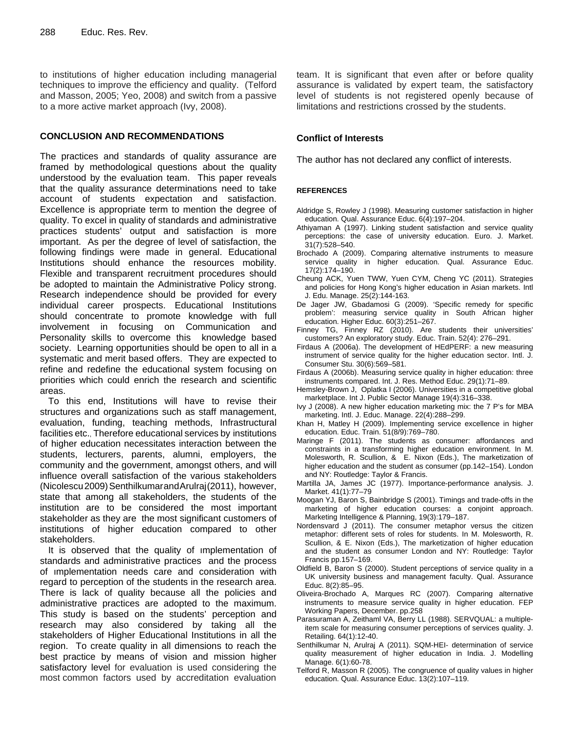to institutions of higher education including managerial techniques to improve the efficiency and quality. (Telford and Masson, 2005; Yeo, 2008) and switch from a passive to a more active market approach (Ivy, 2008).

#### **CONCLUSION AND RECOMMENDATIONS**

The practices and standards of quality assurance are framed by methodological questions about the quality understood by the evaluation team. This paper reveals that the quality assurance determinations need to take account of students expectation and satisfaction. Excellence is appropriate term to mention the degree of quality. To excel in quality of standards and administrative practices students' output and satisfaction is more important. As per the degree of level of satisfaction, the following findings were made in general. Educational Institutions should enhance the resources mobility. Flexible and transparent recruitment procedures should be adopted to maintain the Administrative Policy strong. Research independence should be provided for every individual career prospects. Educational Institutions should concentrate to promote knowledge with full involvement in focusing on Communication and Personality skills to overcome this knowledge based society. Learning opportunities should be open to all in a systematic and merit based offers. They are expected to refine and redefine the educational system focusing on priorities which could enrich the research and scientific areas.

To this end, Institutions will have to revise their structures and organizations such as staff management, evaluation, funding, teaching methods, Infrastructural facilities etc., Therefore educational services by institutions of higher education necessitates interaction between the students, lecturers, parents, alumni, employers, the community and the government, amongst others, and will influence overall satisfaction of the various stakeholders (Nicolescu, 2009). SenthilkumarandArulraj(2011), however, state that among all stakeholders, the students of the institution are to be considered the most important stakeholder as they are the most significant customers of institutions of higher education compared to other stakeholders.

It is observed that the quality of ımplementation of standards and administrative practices and the process of ımplementation needs care and consideration with regard to perception of the students in the research area. There is lack of quality because all the policies and administrative practices are adopted to the maximum. This study is based on the students' perception and research may also considered by taking all the stakeholders of Higher Educational Institutions in all the region. To create quality in all dimensions to reach the best practice by means of vision and mission higher satisfactory level for evaluation is used considering the most common factors used by accreditation evaluation team. It is significant that even after or before quality assurance is validated by expert team, the satisfactory level of students is not registered openly because of limitations and restrictions crossed by the students.

#### **Conflict of Interests**

The author has not declared any conflict of interests.

#### **REFERENCES**

- Aldridge S, Rowley J (1998). Measuring customer satisfaction in higher education. Qual. Assurance Educ. 6(4):197–204.
- Athiyaman A (1997). Linking student satisfaction and service quality perceptions: the case of university education. Euro. J. Market. 31(7):528–540.
- Brochado A (2009). Comparing alternative instruments to measure service quality in higher education. Qual. Assurance Educ. 17(2):174–190.
- Cheung ACK, Yuen TWW, Yuen CYM, Cheng YC (2011). Strategies and policies for Hong Kong's higher education in Asian markets. Intl J. Edu. Manage. 25(2):144-163.
- De Jager JW, Gbadamosi G (2009). 'Specific remedy for specific problem': measuring service quality in South African higher education. Higher Educ. 60(3):251–267.
- Finney TG, Finney RZ (2010). Are students their universities' customers? An exploratory study. Educ. Train. 52(4): 276–291.
- Firdaus A (2006a). The development of HEdPERF: a new measuring instrument of service quality for the higher education sector. Intl. J. Consumer Stu. 30(6):569–581.
- Firdaus A (2006b). Measuring service quality in higher education: three instruments compared. Int. J. Res. Method Educ. 29(1):71–89.
- Hemsley-Brown J, Oplatka I (2006). Universities in a competitive global marketplace. Int J. Public Sector Manage 19(4):316–338.
- Ivy J (2008). A new higher education marketing mix: the 7 P's for MBA marketing. Intl. J. Educ. Manage. 22(4):288–299.
- Khan H, Matley H (2009). Implementing service excellence in higher education. Educ. Train. 51(8/9):769–780.
- Maringe F (2011). The students as consumer: affordances and constraints in a transforming higher education environment. In M. Molesworth, R. Scullion, & E. Nixon (Eds.), The marketization of higher education and the student as consumer (pp.142–154). London and NY: Routledge: Taylor & Francis.
- Martilla JA, James JC (1977). Importance-performance analysis. J. Market. 41(1):77–79
- Moogan YJ, Baron S, Bainbridge S (2001). Timings and trade-offs in the marketing of higher education courses: a conjoint approach. Marketing Intelligence & Planning, 19(3):179–187.
- Nordensvard J (2011). The consumer metaphor versus the citizen metaphor: different sets of roles for students. In M. Molesworth, R. Scullion, & E. Nixon (Eds.), The marketization of higher education and the student as consumer London and NY: Routledge: Taylor Francis pp.157–169.
- Oldfield B, Baron S (2000). Student perceptions of service quality in a UK university business and management faculty. Qual. Assurance Educ. 8(2):85–95.
- Oliveira-Brochado A, Marques RC (2007). Comparing alternative instruments to measure service quality in higher education. FEP Working Papers, December. pp.258
- Parasuraman A, Zeithaml VA, Berry LL (1988). SERVQUAL: a multipleitem scale for measuring consumer perceptions of services quality. J. Retailing. 64(1):12-40.
- Senthilkumar N, Arulraj A (2011). SQM-HEI- determination of service quality measurement of higher education in India. J. Modelling Manage. 6(1):60-78.
- Telford R, Masson R (2005). The congruence of quality values in higher education. Qual. Assurance Educ. 13(2):107–119.